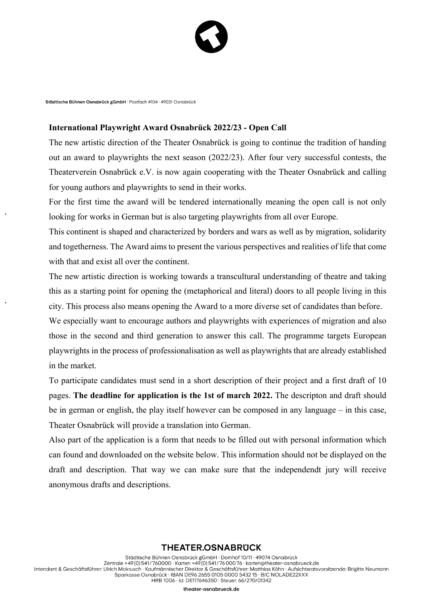

Städtische Bühnen Osnabrück «GmbH · Postfach 4104 · 49031 Osnabrück

## **International Playwright Award Osnabrück 2022/23 - Open Call**

The new artistic direction of the Theater Osnabrück is going to continue the tradition of handing out an award to playwrights the next season (2022/23). After four very successful contests, the Theaterverein Osnabrück e.V. is now again cooperating with the Theater Osnabrück and calling for young authors and playwrights to send in their works.

For the first time the award will be tendered internationally meaning the open call is not only looking for works in German but is also targeting playwrights from all over Europe.

This continent is shaped and characterized by borders and wars as well as by migration, solidarity and togetherness. The Award aims to present the various perspectives and realities of life that come with that and exist all over the continent.

The new artistic direction is working towards a transcultural understanding of theatre and taking this as a starting point for opening the (metaphorical and literal) doors to all people living in this city. This process also means opening the Award to a more diverse set of candidates than before.

We especially want to encourage authors and playwrights with experiences of migration and also those in the second and third generation to answer this call. The programme targets European playwrights in the process of professionalisation as well as playwrights that are already established in the market.

To participate candidates must send in a short description of their project and a first draft of 10 pages. **The deadline for application is the 1st of march 2022.** The descripton and draft should be in german or english, the play itself however can be composed in any language – in this case, Theater Osnabrück will provide a translation into German.

Also part of the application is a form that needs to be filled out with personal information which can found and downloaded on the website below. This information should not be displayed on the draft and description. That way we can make sure that the independendt jury will receive anonymous drafts and descriptions.

## **THEATER.OSNABRUCK**